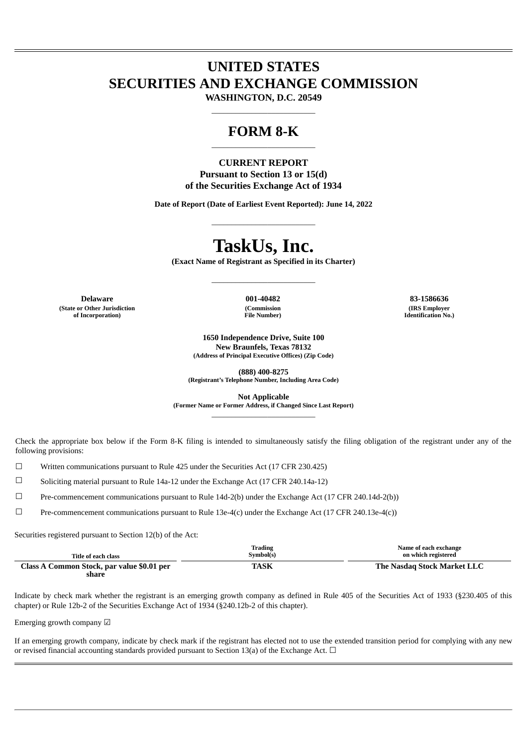# **UNITED STATES SECURITIES AND EXCHANGE COMMISSION**

**WASHINGTON, D.C. 20549**  $\_$ 

# **FORM 8-K**  $\_$

# **CURRENT REPORT Pursuant to Section 13 or 15(d) of the Securities Exchange Act of 1934**

**Date of Report (Date of Earliest Event Reported): June 14, 2022**

 $\_$ 

# **TaskUs, Inc.**

**(Exact Name of Registrant as Specified in its Charter)**

 $\_$ 

**Delaware 001-40482 83-1586636 (State or Other Jurisdiction of Incorporation)**

**(Commission File Number)**

**(IRS Employer Identification No.)**

**1650 Independence Drive, Suite 100 New Braunfels, Texas 78132 (Address of Principal Executive Offices) (Zip Code)**

**(888) 400-8275 (Registrant's Telephone Number, Including Area Code)**

**Not Applicable**

**(Former Name or Former Address, if Changed Since Last Report)**  $\_$ 

Check the appropriate box below if the Form 8-K filing is intended to simultaneously satisfy the filing obligation of the registrant under any of the following provisions:

 $\Box$  Written communications pursuant to Rule 425 under the Securities Act (17 CFR 230.425)

☐ Soliciting material pursuant to Rule 14a-12 under the Exchange Act (17 CFR 240.14a-12)

☐ Pre-commencement communications pursuant to Rule 14d-2(b) under the Exchange Act (17 CFR 240.14d-2(b))

☐ Pre-commencement communications pursuant to Rule 13e-4(c) under the Exchange Act (17 CFR 240.13e-4(c))

Securities registered pursuant to Section 12(b) of the Act:

| Title of each class                                 | <b>Trading</b><br>Symbol(s) | Name of each exchange<br>on which registered |
|-----------------------------------------------------|-----------------------------|----------------------------------------------|
| Class A Common Stock, par value \$0.01 per<br>share | <b>TASK</b>                 | The Nasdag Stock Market LLC                  |

Indicate by check mark whether the registrant is an emerging growth company as defined in Rule 405 of the Securities Act of 1933 (§230.405 of this chapter) or Rule 12b-2 of the Securities Exchange Act of 1934 (§240.12b-2 of this chapter).

Emerging growth company ☑

If an emerging growth company, indicate by check mark if the registrant has elected not to use the extended transition period for complying with any new or revised financial accounting standards provided pursuant to Section 13(a) of the Exchange Act.  $\Box$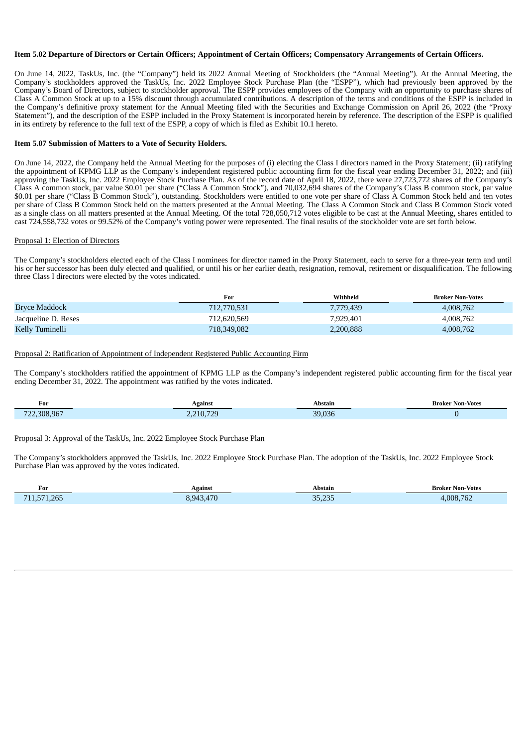#### Item 5.02 Departure of Directors or Certain Officers; Appointment of Certain Officers; Compensatory Arrangements of Certain Officers.

On June 14, 2022, TaskUs, Inc. (the "Company") held its 2022 Annual Meeting of Stockholders (the "Annual Meeting"). At the Annual Meeting, the Company's stockholders approved the TaskUs, Inc. 2022 Employee Stock Purchase Plan (the "ESPP"), which had previously been approved by the Company's Board of Directors, subject to stockholder approval. The ESPP provides employees of the Company with an opportunity to purchase shares of Class A Common Stock at up to a 15% discount through accumulated contributions. A description of the terms and conditions of the ESPP is included in the Company's definitive proxy statement for the Annual Meeting filed with the Securities and Exchange Commission on April 26, 2022 (the "Proxy Statement"), and the description of the ESPP included in the Proxy Statement is incorporated herein by reference. The description of the ESPP is qualified in its entirety by reference to the full text of the ESPP, a copy of which is filed as Exhibit 10.1 hereto.

#### **Item 5.07 Submission of Matters to a Vote of Security Holders.**

On June 14, 2022, the Company held the Annual Meeting for the purposes of (i) electing the Class I directors named in the Proxy Statement; (ii) ratifying the appointment of KPMG LLP as the Company's independent registered public accounting firm for the fiscal year ending December 31, 2022; and (iii) approving the TaskUs, Inc. 2022 Employee Stock Purchase Plan. As of the record date of April 18, 2022, there were 27,723,772 shares of the Company's Class A common stock, par value \$0.01 per share ("Class A Common Stock"), and 70,032,694 shares of the Company's Class B common stock, par value \$0.01 per share ("Class B Common Stock"), outstanding. Stockholders were entitled to one vote per share of Class A Common Stock held and ten votes per share of Class B Common Stock held on the matters presented at the Annual Meeting. The Class A Common Stock and Class B Common Stock voted as a single class on all matters presented at the Annual Meeting. Of the total 728,050,712 votes eligible to be cast at the Annual Meeting, shares entitled to cast 724,558,732 votes or 99.52% of the Company's voting power were represented. The final results of the stockholder vote are set forth below.

#### Proposal 1: Election of Directors

The Company's stockholders elected each of the Class I nominees for director named in the Proxy Statement, each to serve for a three-year term and until his or her successor has been duly elected and qualified, or until his or her earlier death, resignation, removal, retirement or disqualification. The following three Class I directors were elected by the votes indicated.

|                     | For         | Withheld  | <b>Broker Non-Votes</b> |
|---------------------|-------------|-----------|-------------------------|
| Bryce Maddock       | 712,770,531 | 7.779.439 | 4,008,762               |
| Jacqueline D. Reses | 712.620.569 | 7.929.401 | 4,008,762               |
| Kelly Tuminelli     | 718,349,082 | 2,200,888 | 4,008,762               |

#### Proposal 2: Ratification of Appointment of Independent Registered Public Accounting Firm

The Company's stockholders ratified the appointment of KPMG LLP as the Company's independent registered public accounting firm for the fiscal year ending December 31, 2022. The appointment was ratified by the votes indicated.

| For                        | <b>Agains</b>             | Abstain | <b>Broker Non-Votes</b> |
|----------------------------|---------------------------|---------|-------------------------|
| .308.967<br>$\blacksquare$ | ን 21በ 729<br>. . <i>.</i> | וכח חכ  |                         |

#### Proposal 3: Approval of the TaskUs, Inc. 2022 Employee Stock Purchase Plan

The Company's stockholders approved the TaskUs, Inc. 2022 Employee Stock Purchase Plan. The adoption of the TaskUs, Inc. 2022 Employee Stock Purchase Plan was approved by the votes indicated.

| For                                    | Against                                  | Abstain                 | Non-Votes ?<br>sroker. |
|----------------------------------------|------------------------------------------|-------------------------|------------------------|
| 1.265<br>- 4<br>$\sim$ $\prime$ $\sim$ | $+3.47°$<br>כו חס<br>$\mathbf{1}$<br>ບຸບ | 225<br>$\sim$ $-$<br>-- | 762<br>4.008           |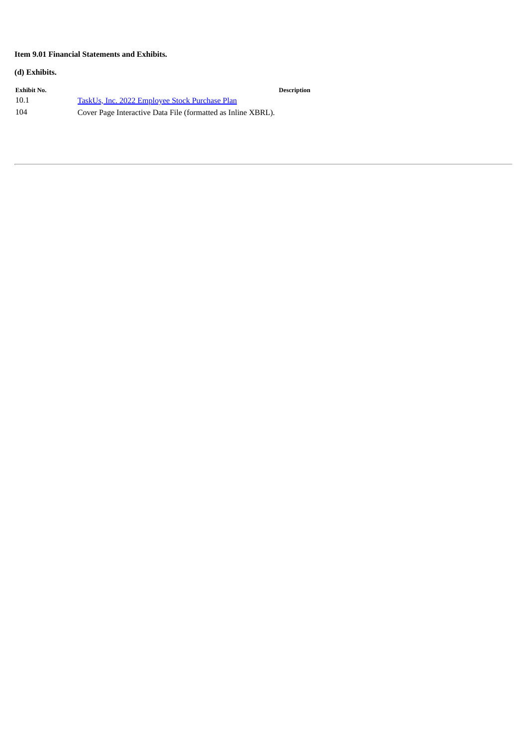# **Item 9.01 Financial Statements and Exhibits.**

## **(d) Exhibits.**

| Exhibit No. |                                                              | <b>Description</b> |
|-------------|--------------------------------------------------------------|--------------------|
| 10.1        | TaskUs, Inc. 2022 Employee Stock Purchase Plan               |                    |
| 104         | Cover Page Interactive Data File (formatted as Inline XBRL). |                    |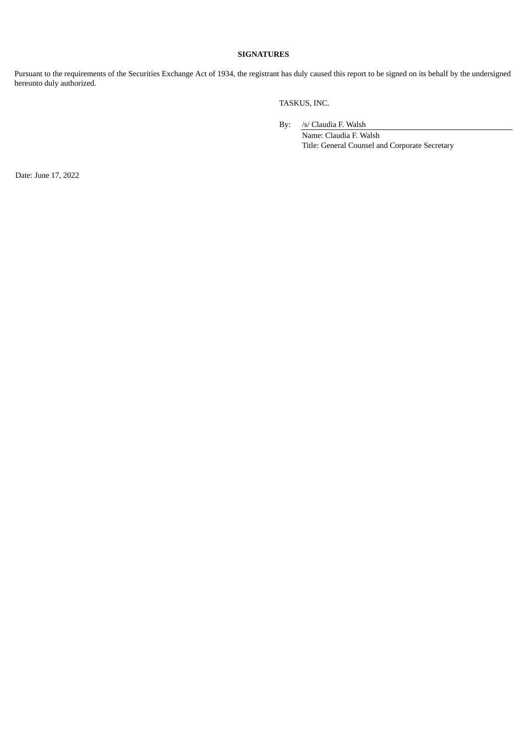#### **SIGNATURES**

Pursuant to the requirements of the Securities Exchange Act of 1934, the registrant has duly caused this report to be signed on its behalf by the undersigned hereunto duly authorized.

TASKUS, INC.

By: /s/ Claudia F. Walsh

Name: Claudia F. Walsh Title: General Counsel and Corporate Secretary

Date: June 17, 2022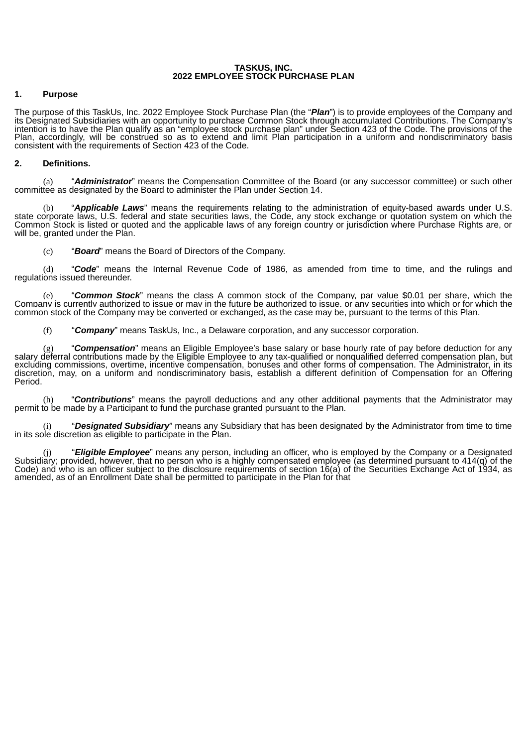#### **TASKUS, INC. 2022 EMPLOYEE STOCK PURCHASE PLAN**

# <span id="page-4-0"></span>**1. Purpose**

The purpose of this TaskUs, Inc. 2022 Employee Stock Purchase Plan (the "*Plan*") is to provide employees of the Company and its Designated Subsidiaries with an opportunity to purchase Common Stock through accumulated Contributions. The Company's intention is to have the Plan qualify as an "employee stock purchase plan" under Section 423 of the Code. The provisions of the Plan, accordingly, will be construed so as to extend and limit Plan participation in a uniform and nondiscriminatory basis consistent with the requirements of Section 423 of the Code.

# **2. Definitions.**

(a) "*Administrator*" means the Compensation Committee of the Board (or any successor committee) or such other committee as designated by the Board to administer the Plan under Section 14.

(b) "*Applicable Laws*" means the requirements relating to the administration of equity-based awards under U.S. state corporate laws, U.S. federal and state securities laws, the Code, any stock exchange or quotation system on which the Common Stock is listed or quoted and the applicable laws of any foreign country or jurisdiction where Purchase Rights are, or will be, granted under the Plan.

(c) "*Board*" means the Board of Directors of the Company.

(d) "*Code*" means the Internal Revenue Code of 1986, as amended from time to time, and the rulings and regulations issued thereunder.

"**Common Stock**" means the class A common stock of the Company, par value \$0.01 per share, which the Company is currently authorized to issue or may in the future be authorized to issue, or any securities into which or for which the common stock of the Company may be converted or exchanged, as the case may be, pursuant to the terms of this Plan.

(f) "*Company*" means TaskUs, Inc., a Delaware corporation, and any successor corporation.

(g) "*Compensation*" means an Eligible Employee's base salary or base hourly rate of pay before deduction for any salary deferral contributions made by the Eligible Employee to any tax-qualified or nonqualified deferred compensation plan, but excluding commissions, overtime, incentive compensation, bonuses and other forms of compensation. The Administrator, in its discretion, may, on a uniform and nondiscriminatory basis, establish a different definition of Compensation for an Offering Period.

(h) "*Contributions*" means the payroll deductions and any other additional payments that the Administrator may permit to be made by a Participant to fund the purchase granted pursuant to the Plan.

(i) "*Designated Subsidiary*" means any Subsidiary that has been designated by the Administrator from time to time in its sole discretion as eligible to participate in the Plan.

(j) "*Eligible Employee*" means any person, including an officer, who is employed by the Company or a Designated Subsidiary; provided, however, that no person who is a highly compensated employee (as determined pursuant to 414(q) of the Code) and who is an officer subject to the disclosure requirements of section 16(a) of the Securities Exchange Act of 1934, as amended, as of an Enrollment Date shall be permitted to participate in the Plan for that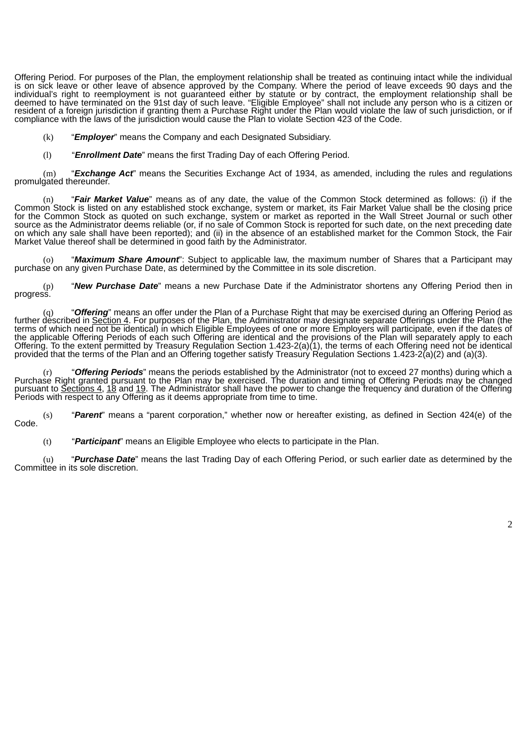Offering Period. For purposes of the Plan, the employment relationship shall be treated as continuing intact while the individual is on sick leave or other leave of absence approved by the Company. Where the period of leave exceeds 90 days and the individual's right to reemployment is not guaranteed either by statute or by contract, the employment relationship shall be deemed to have terminated on the 91st day of such leave. "Eligible Employee" shall not include any person who is a citizen or resident of a foreign jurisdiction if granting them a Purchase Right under the Plan would violate the law of such jurisdiction, or if compliance with the laws of the jurisdiction would cause the Plan to violate Section 423 of the Code.

- (k) "*Employer*" means the Company and each Designated Subsidiary.
- (l) "*Enrollment Date*" means the first Trading Day of each Offering Period.

(m) "*Exchange Act*" means the Securities Exchange Act of 1934, as amended, including the rules and regulations promulgated thereunder.

(n) "*Fair Market Value*" means as of any date, the value of the Common Stock determined as follows: (i) if the Common Stock is listed on any established stock exchange, system or market, its Fair Market Value shall be the closing price for the Common Stock as quoted on such exchange, system or market as reported in the Wall Street Journal or such other source as the Administrator deems reliable (or, if no sale of Common Stock is reported for such date, on the next preceding date on which any sale shall have been reported); and (ii) in the absence of an established market for the Common Stock, the Fair Market Value thereof shall be determined in good faith by the Administrator.

(o) "*Maximum Share Amount*": Subject to applicable law, the maximum number of Shares that a Participant may purchase on any given Purchase Date, as determined by the Committee in its sole discretion.

(p) "*New Purchase Date*" means a new Purchase Date if the Administrator shortens any Offering Period then in progress.

"Offering" means an offer under the Plan of a Purchase Right that may be exercised during an Offering Period as further described in Section 4. For purposes of the Plan, the Administrator may designate separate Offerings under the Plan (the terms of which need not be identical) in which Eligible Employees of one or more Employers will participate, even if the dates of the applicable Offering Periods of each such Offering are identical and the provisions of the Plan will separately apply to each Offering. To the extent permitted by Treasury Regulation Section 1.423-2(a)(1), the terms of each Offering need not be identical provided that the terms of the Plan and an Offering together satisfy Treasury Regulation Sections 1.423-2(a)(2) and (a)(3).

"Offering Periods" means the periods established by the Administrator (not to exceed 27 months) during which a Purchase Right granted pursuant to the Plan may be exercised. The duration and timing of Offering Periods may be changed pursuant to <u>Sections 4, 18</u> and <u>19</u>. The Administrator shall have the power to change the frequency and duration of the Offering Periods with respect to any Offering as it deems appropriate from time to time.

(s) "*Parent*" means a "parent corporation," whether now or hereafter existing, as defined in Section 424(e) of the Code.

(t) "*Participant*" means an Eligible Employee who elects to participate in the Plan.

(u) "*Purchase Date*" means the last Trading Day of each Offering Period, or such earlier date as determined by the Committée in its sole discretion.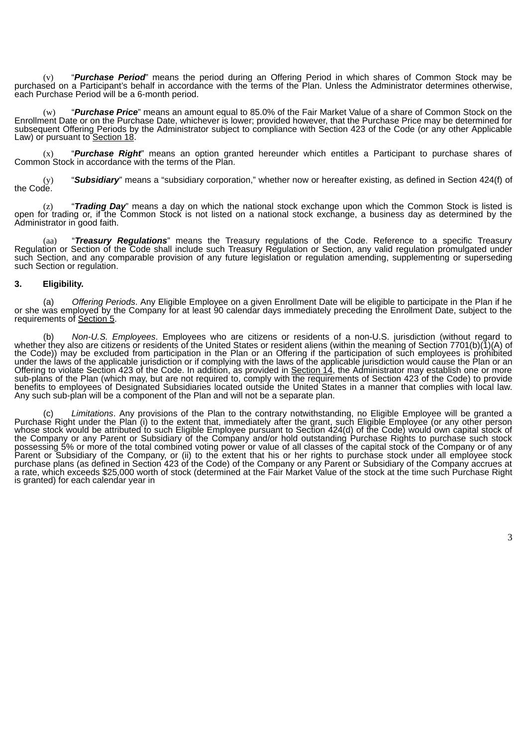(v) "*Purchase Period*" means the period during an Offering Period in which shares of Common Stock may be purchased on a Participant's behalf in accordance with the terms of the Plan. Unless the Administrator determines otherwise, each Purchase Period will be a 6-month period.

(w) "*Purchase Price*" means an amount equal to 85.0% of the Fair Market Value of a share of Common Stock on the Enrollment Date or on the Purchase Date, whichever is lower; provided however, that the Purchase Price may be determined for subsequent Offering Periods by the Administrator subject to compliance with Section 423 of the Code (or any other Applicable Law) or pursuant to Section 18.

(x) "*Purchase Right*" means an option granted hereunder which entitles a Participant to purchase shares of Common Stock in accordance with the terms of the Plan.

(y) "*Subsidiary*" means a "subsidiary corporation," whether now or hereafter existing, as defined in Section 424(f) of the Code.

(z) "*Trading Day*" means a day on which the national stock exchange upon which the Common Stock is listed is open for trading or, if the Common Stock is not listed on a national stock exchange, a business day as determined by the Administrator in good faith.

(aa) "*Treasury Regulations*" means the Treasury regulations of the Code. Reference to a specific Treasury Regulation or Section of the Code shall include such Treasury Regulation or Section, any valid regulation promulgated under such Section, and any comparable provision of any future legislation or regulation amending, supplementing or superseding such Section or regulation.

### **3. Eligibility.**

(a) *Offering Periods*. Any Eligible Employee on a given Enrollment Date will be eligible to participate in the Plan if he or she was employed by the Company for at least 90 calendar days immediately preceding the Enrollment Date, subject to the requirements of Section 5.

(b) *Non-U.S. Employees*. Employees who are citizens or residents of a non-U.S. jurisdiction (without regard to whether they also are citizens or residents of the United States or resident aliens (within the meaning of Section 7701(b)(1)(A) of the Code)) may be excluded from participation in the Plan or an Offering if the participation of such employees is prohibited under the laws of the applicable jurisdiction or if complying with the laws of the applicable jurisdiction would cause the Plan or an Offering to violate Section 423 of the Code. In addition, as provided in Section 14, the Administrator may establish one or more sub-plans of the Plan (which may, but are not required to, comply with the requirements of Section 423 of the Code) to provide benefits to employees of Designated Subsidiaries located outside the United States in a manner that complies with local law. Any such sub-plan will be a component of the Plan and will not be a separate plan.

(c) *Limitations*. Any provisions of the Plan to the contrary notwithstanding, no Eligible Employee will be granted a Purchase Right under the Plan (i) to the extent that, immediately after the grant, such Eligible Employee (or any other person whose stock would be attributed to such Eligible Employee pursuant to Section 424(d) of the Code) would own capital stock of the Company or any Parent or Subsidiary of the Company and/or hold outstanding Purchase Rights to purchase such stock possessing 5% or more of the total combined voting power or value of all classes of the capital stock of the Company or of any Parent or Subsidiary of the Company, or (ii) to the extent that his or her rights to purchase stock under all employee stock purchase plans (as defined in Section 423 of the Code) of the Company or any Parent or Subsidiary of the Company accrues at a rate, which exceeds \$25,000 worth of stock (determined at the Fair Market Value of the stock at the time such Purchase Right is granted) for each calendar year in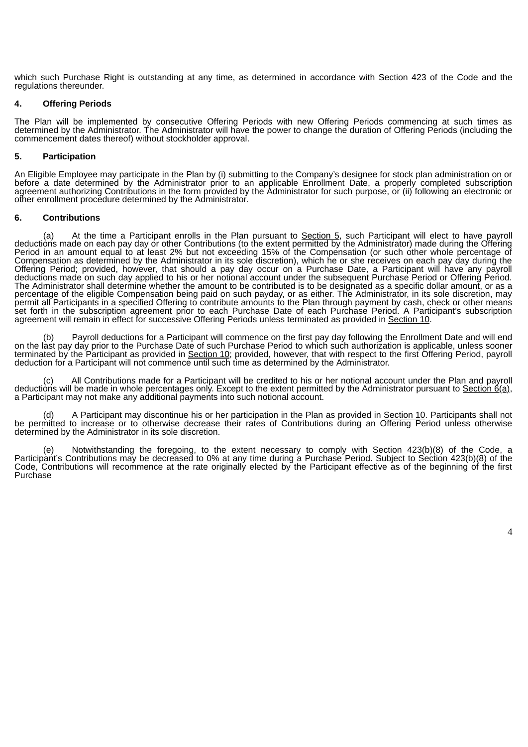which such Purchase Right is outstanding at any time, as determined in accordance with Section 423 of the Code and the regulations thereunder.

#### **4. Offering Periods**

The Plan will be implemented by consecutive Offering Periods with new Offering Periods commencing at such times as determined by the Administrator. The Administrator will have the power to change the duration of Offering Periods (including the commencement dates thereof) without stockholder approval.

### **5. Participation**

An Eligible Employee may participate in the Plan by (i) submitting to the Company's designee for stock plan administration on or before a date determined by the Administrator prior to an applicable Enrollment Date, a properly completed subscription agreement authorizing Contributions in the form provided by the Administrator for such purpose, or (ii) following an electronic or other enrollment procedure determined by the Administrator.

#### **6. Contributions**

(a) At the time a Participant enrolls in the Plan pursuant to Section 5, such Participant will elect to have payroll deductions made on each pay day or other Contributions (to the extent permitted by the Administrator) made during the Offering Period in an amount equal to at least 2% but not exceeding 15% of the Compensation (or such other whole percentage of Compensation as determined by the Administrator in its sole discretion), which he or she receives on each pay day during the Offering Period; provided, however, that should a pay day occur on a Purchase Date, a Participant will have any payroll deductions made on such day applied to his or her notional account under the subsequent Purchase Period or Offering Period. The Administrator shall determine whether the amount to be contributed is to be designated as a specific dollar amount, or as a percentage of the eligible Compensation being paid on such payday, or as either. The Administrator, in its sole discretion, may permit all Participants in a specified Offering to contribute amounts to the Plan through payment by cash, check or other means set forth in the subscription agreement prior to each Purchase Date of each Purchase Period. A Participant's subscription agreement will remain in effect for successive Offering Periods unless terminated as provided in Section 10.

Payroll deductions for a Participant will commence on the first pay day following the Enrollment Date and will end on the last pay day prior to the Purchase Date of such Purchase Period to which such authorization is applicable, unless sooner terminated by the Participant as provided in Section 10; provided, however, that with respect to the first Offering Period, payroll deduction for a Participant will not commence until such time as determined by the Administrator.

All Contributions made for a Participant will be credited to his or her notional account under the Plan and payroll deductions will be made in whole percentages only. Except to the extent permitted by the Administrator pursuant to Section  $6(a)$ , a Participant may not make any additional payments into such notional account.

(d) A Participant may discontinue his or her participation in the Plan as provided in Section 10. Participants shall not be permitted to increase or to otherwise decrease their rates of Contributions during an Offering Period unless otherwise determined by the Administrator in its sole discretion.

(e) Notwithstanding the foregoing, to the extent necessary to comply with Section 423(b)(8) of the Code, a Participant's Contributions may be decreased to 0% at any time during a Purchase Period. Subject to Section 423(b)(8) of the Code, Contributions will recommence at the rate originally elected by the Participant effective as of the beginning of the first Purchase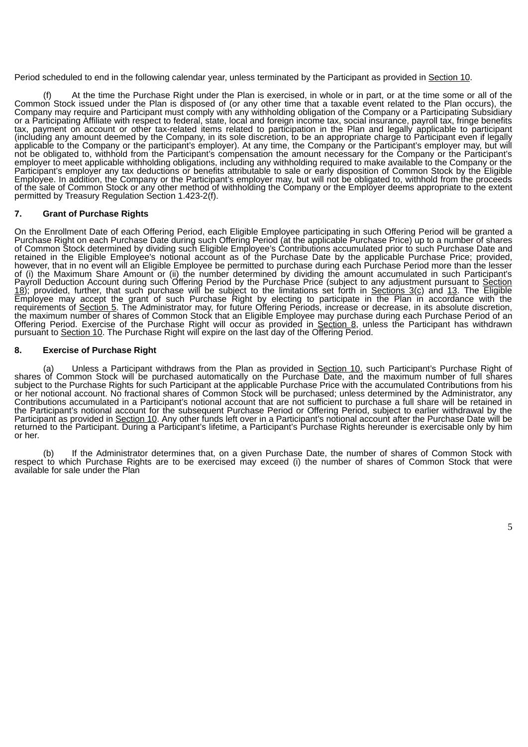Period scheduled to end in the following calendar year, unless terminated by the Participant as provided in Section 10.

At the time the Purchase Right under the Plan is exercised, in whole or in part, or at the time some or all of the Common Stock issued under the Plan is disposed of (or any other time that a taxable event related to the Plan occurs), the Company may require and Participant must comply with any withholding obligation of the Company or a Participating Subsidiary or a Participating Affiliate with respect to federal, state, local and foreign income tax, social insurance, payroll tax, fringe benefits tax, payment on account or other tax-related items related to participation in the Plan and legally applicable to participant (including any amount deemed by the Company, in its sole discretion, to be an appropriate charge to Participant even if legally applicable to the Company or the participant's employer). At any time, the Company or the Participant's employer may, but will not be obligated to, withhold from the Participant's compensation the amount necessary for the Company or the Participant's employer to meet applicable withholding obligations, including any withholding required to make available to the Company or the Participant's employer any tax deductions or benefits attributable to sale or early disposition of Common Stock by the Eligible Employee. In addition, the Company or the Participant's employer may, but will not be obligated to, withhold from the proceeds of the sale of Common Stock or any other method of withholding the Company or the Employer deems appropriate to the extent permitted by Treasury Regulation Section 1.423-2(f).

#### **7. Grant of Purchase Rights**

On the Enrollment Date of each Offering Period, each Eligible Employee participating in such Offering Period will be granted a Purchase Right on each Purchase Date during such Offering Period (at the applicable Purchase Price) up to a number of shares of Common Stock determined by dividing such Eligible Employee's Contributions accumulated prior to such Purchase Date and retained in the Eligible Employee's notional account as of the Purchase Date by the applicable Purchase Price; provided, however, that in no event will an Eligible Employee be permitted to purchase during each Purchase Period more than the lesser of (i) the Maximum Share Amount or (ii) the number determined by dividing the amount accumulated in such Participant's Payroll Deduction Account during such Offering Period by the Purchase Price (subject to any adjustment pursuant to Section 18); provided, further, that such purchase will be subject to the limitations set forth in <u>Sections 3(c)</u> and 13. The Eligible Employee may accept the grant of such Purchase Right by electing to participate in the Plan in accordance with the requirements of <u>Section 5</u>. The Administrator may, for future Offering Periods, increase or decrease, in its absolute discretion, the maximum number of shares of Common Stock that an Eligible Employee may purchase during each Purchase Period of an Offering Period. Exercise of the Purchase Right will occur as provided in Section 8, unless the Participant has withdrawn pursuant to Section 10. The Purchase Right will expire on the last day of the Offering Period.

#### **8. Exercise of Purchase Right**

(a) Unless a Participant withdraws from the Plan as provided in Section 10, such Participant's Purchase Right of shares of Common Stock will be purchased automatically on the Purchase Date, and the maximum number of full shares subject to the Purchase Rights for such Participant at the applicable Purchase Price with the accumulated Contributions from his or her notional account. No fractional shares of Common Stock will be purchased; unless determined by the Administrator, any Contributions accumulated in a Participant's notional account that are not sufficient to purchase a full share will be retained in the Participant's notional account for the subsequent Purchase Period or Offering Period, subject to earlier withdrawal by the Participant as provided in <u>Section 10</u>. Any other funds left over in a Participant's notional account after the Purchase Date will be returned to the Participant. During a Participant's lifetime, a Participant's Purchase Rights hereunder is exercisable only by him or her.

(b) If the Administrator determines that, on a given Purchase Date, the number of shares of Common Stock with respect to which Purchase Rights are to be exercised may exceed (i) the number of shares of Common Stock that were available for sale under the Plan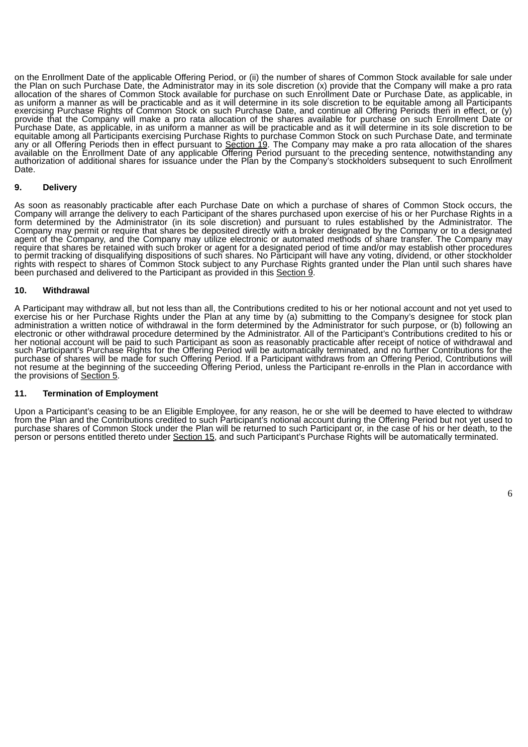on the Enrollment Date of the applicable Offering Period, or (ii) the number of shares of Common Stock available for sale under the Plan on such Purchase Date, the Administrator may in its sole discretion (x) provide that the Company will make a pro rata allocation of the shares of Common Stock available for purchase on such Enrollment Date or Purchase Date, as applicable, in as uniform a manner as will be practicable and as it will determine in its sole discretion to be equitable among all Participants exercising Purchase Rights of Common Stock on such Purchase Date, and continue all Offering Periods then in effect, or (y) provide that the Company will make a pro rata allocation of the shares available for purchase on such Enrollment Date or Purchase Date, as applicable, in as uniform a manner as will be practicable and as it will determine in its sole discretion to be equitable among all Participants exercising Purchase Rights to purchase Common Stock on such Purchase Date, and terminate any or all Offering Periods then in effect pursuant to Section 19. The Company may make a pro rata allocation of the shares available on the Enrollment Date of any applicable Offering Period pursuant to the preceding sentence, notwithstanding any authorization of additional shares for issuance under the Plan by the Company's stockholders subsequent to such Enrollment Date.

### **9. Delivery**

As soon as reasonably practicable after each Purchase Date on which a purchase of shares of Common Stock occurs, the Company will arrange the delivery to each Participant of the shares purchased upon exercise of his or her Purchase Rights in a form determined by the Administrator (in its sole discretion) and pursuant to rules established by the Administrator. The Company may permit or require that shares be deposited directly with a broker designated by the Company or to a designated agent of the Company, and the Company may utilize electronic or automated methods of share transfer. The Company may require that shares be retained with such broker or agent for a designated period of time and/or may establish other procedures to permit tracking of disqualifying dispositions of such shares. No Participant will have any voting, dividend, or other stockholder rights with respect to shares of Common Stock subject to any Purchase Rights granted under the Plan until such shares have been purchased and delivered to the Participant as provided in this Section 9.

#### **10. Withdrawal**

A Participant may withdraw all, but not less than all, the Contributions credited to his or her notional account and not yet used to exercise his or her Purchase Rights under the Plan at any time by (a) submitting to the Company's designee for stock plan administration a written notice of withdrawal in the form determined by the Administrator for such purpose, or (b) following an electronic or other withdrawal procedure determined by the Administrator. All of the Participant's Contributions credited to his or her notional account will be paid to such Participant as soon as reasonably practicable after receipt of notice of withdrawal and such Participant's Purchase Rights for the Offering Period will be automatically terminated, and no further Contributions for the purchase of shares will be made for such Offering Period. If a Participant withdraws from an Offering Period, Contributions will not resume at the beginning of the succeeding Offering Period, unless the Participant re-enrolls in the Plan in accordance with the provisions of Section 5.

### **11. Termination of Employment**

Upon a Participant's ceasing to be an Eligible Employee, for any reason, he or she will be deemed to have elected to withdraw from the Plan and the Contributions credited to such Participant's notional account during the Offering Period but not yet used to purchase shares of Common Stock under the Plan will be returned to such Participant or, in the case of his or her death, to the person or persons entitled thereto under Section 15, and such Participant's Purchase Rights will be automatically terminated.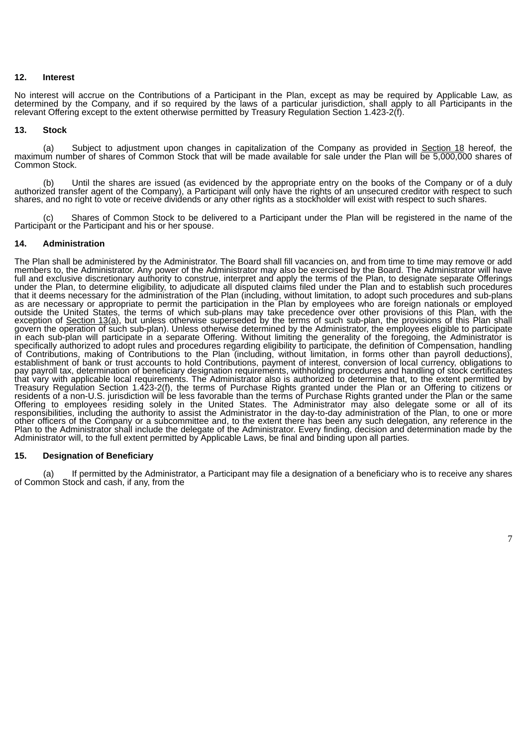#### **12. Interest**

No interest will accrue on the Contributions of a Participant in the Plan, except as may be required by Applicable Law, as determined by the Company, and if so required by the laws of a particular jurisdiction, shall apply to all Participants in the relevant Offering except to the extent otherwise permitted by Treasury Regulation Section 1.423-2(f).

#### **13. Stock**

(a) Subject to adjustment upon changes in capitalization of the Company as provided in Section 18 hereof, the maximum number of shares of Common Stock that will be made available for sale under the Plan will be 5,000,000 shares of Common Stock.

(b) Until the shares are issued (as evidenced by the appropriate entry on the books of the Company or of a duly authorized transfer agent of the Company), a Participant will only have the rights of an unsecured creditor with respect to such shares, and no right to vote or receive dividends or any other rights as a stockholder will exist with respect to such shares.

Shares of Common Stock to be delivered to a Participant under the Plan will be registered in the name of the Participant or the Participant and his or her spouse.

### **14. Administration**

The Plan shall be administered by the Administrator. The Board shall fill vacancies on, and from time to time may remove or add members to, the Administrator. Any power of the Administrator may also be exercised by the Board. The Administrator will have full and exclusive discretionary authority to construe, interpret and apply the terms of the Plan, to designate separate Offerings under the Plan, to determine eligibility, to adjudicate all disputed claims filed under the Plan and to establish such procedures that it deems necessary for the administration of the Plan (including, without limitation, to adopt such procedures and sub-plans as are necessary or appropriate to permit the participation in the Plan by employees who are foreign nationals or employed outside the United States, the terms of which sub-plans may take precedence over other provisions of this Plan, with the exception of Section 13(a), but unless otherwise superseded by the terms of such sub-plan, the provisions of this Plan shall govern the operation of such sub-plan). Unless otherwise determined by the Administrator, the employees eligible to participate in each sub-plan will participate in a separate Offering. Without limiting the generality of the foregoing, the Administrator is specifically authorized to adopt rules and procedures regarding eligibility to participate, the definition of Compensation, handling of Contributions, making of Contributions to the Plan (including, without limitation, in forms other than payroll deductions), establishment of bank or trust accounts to hold Contributions, payment of interest, conversion of local currency, obligations to pay payroll tax, determination of beneficiary designation requirements, withholding procedures and handling of stock certificates that vary with applicable local requirements. The Administrator also is authorized to determine that, to the extent permitted by Treasury Regulation Section 1.423-2(f), the terms of Purchase Rights granted under the Plan or an Offering to citizens or residents of a non-U.S. jurisdiction will be less favorable than the terms of Purchase Rights granted under the Plan or the same Offering to employees residing solely in the United States. The Administrator may also delegate some or all of its responsibilities, including the authority to assist the Administrator in the day-to-day administration of the Plan, to one or more other officers of the Company or a subcommittee and, to the extent there has been any such delegation, any reference in the Plan to the Administrator shall include the delegate of the Administrator. Every finding, decision and determination made by the Administrator will, to the full extent permitted by Applicable Laws, be final and binding upon all parties.

#### **15. Designation of Beneficiary**

(a) If permitted by the Administrator, a Participant may file a designation of a beneficiary who is to receive any shares of Common Stock and cash, if any, from the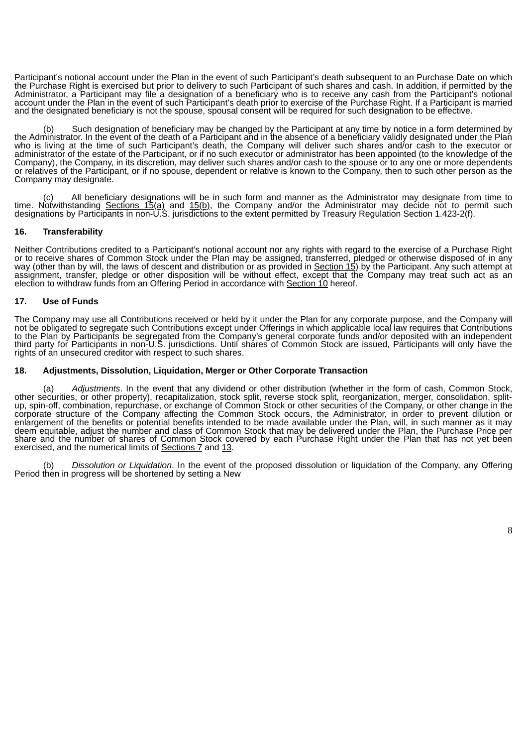Participant's notional account under the Plan in the event of such Participant's death subsequent to an Purchase Date on which the Purchase Right is exercised but prior to delivery to such Participant of such shares and cash. In addition, if permitted by the Administrator, a Participant may file a designation of a beneficiary who is to receive any cash from the Participant's notional account under the Plan in the event of such Participant's death prior to exercise of the Purchase Right. If a Participant is married and the designated beneficiary is not the spouse, spousal consent will be required for such designation to be effective.

Such designation of beneficiary may be changed by the Participant at any time by notice in a form determined by the Administrator. In the event of the death of a Participant and in the absence of a beneficiary validly designated under the Plan who is living at the time of such Participant's death, the Company will deliver such shares and/or cash to the executor or administrator of the estate of the Participant, or if no such executor or administrator has been appointed (to the knowledge of the Company), the Company, in its discretion, may deliver such shares and/or cash to the spouse or to any one or more dependents or relatives of the Participant, or if no spouse, dependent or relative is known to the Company, then to such other person as the Company may designate.

All beneficiary designations will be in such form and manner as the Administrator may designate from time to time. Notwithstanding <u>Sections 15(a)</u> and <u>15(b)</u>, the Company and/or the Administrator may decide not to permit such designations by Participants in non-U.S. jurisdictions to the extent permitted by Treasury Regulation Section 1.423-2(f).

# **16. Transferability**

Neither Contributions credited to a Participant's notional account nor any rights with regard to the exercise of a Purchase Right or to receive shares of Common Stock under the Plan may be assigned, transferred, pledged or otherwise disposed of in any way (other than by will, the laws of descent and distribution or as provided in <u>Section 15</u>) by the Participant. Any such attempt at assignment, transfer, pledge or other disposition will be without effect, except that the Company may treat such act as an election to withdraw funds from an Offering Period in accordance with Section 10 hereof.

### **17. Use of Funds**

The Company may use all Contributions received or held by it under the Plan for any corporate purpose, and the Company will not be obligated to segregate such Contributions except under Offerings in which applicable local law requires that Contributions to the Plan by Participants be segregated from the Company's general corporate funds and/or deposited with an independent third party for Participants in non-U.S. jurisdictions. Until shares of Common Stock are issued, Participants will only have the rights of an unsecured creditor with respect to such shares.

#### **18. Adjustments, Dissolution, Liquidation, Merger or Other Corporate Transaction**

(a) *Adjustments*. In the event that any dividend or other distribution (whether in the form of cash, Common Stock, other securities, or other property), recapitalization, stock split, reverse stock split, reorganization, merger, consolidation, splitup, spin-off, combination, repurchase, or exchange of Common Stock or other securities of the Company, or other change in the corporate structure of the Company affecting the Common Stock occurs, the Administrator, in order to prevent dilution or enlargement of the benefits or potential benefits intended to be made available under the Plan, will, in such manner as it may deem equitable, adjust the number and class of Common Stock that may be delivered under the Plan, the Purchase Price per share and the number of shares of Common Stock covered by each Purchase Right under the Plan that has not yet been exercised, and the numerical limits of Sections 7 and 13.

(b) *Dissolution or Liquidation*. In the event of the proposed dissolution or liquidation of the Company, any Offering Period then in progress will be shortened by setting a New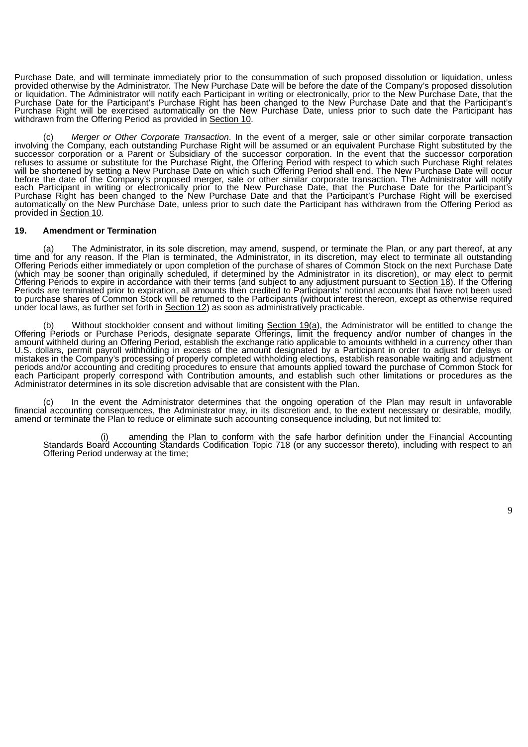Purchase Date, and will terminate immediately prior to the consummation of such proposed dissolution or liquidation, unless provided otherwise by the Administrator. The New Purchase Date will be before the date of the Company's proposed dissolution or liquidation. The Administrator will notify each Participant in writing or electronically, prior to the New Purchase Date, that the Purchase Date for the Participant's Purchase Right has been changed to the New Purchase Date and that the Participant's Purchase Right will be exercised automatically on the New Purchase Date, unless prior to such date the Participant has withdrawn from the Offering Period as provided in Section 10.

(c) *Merger or Other Corporate Transaction*. In the event of a merger, sale or other similar corporate transaction involving the Company, each outstanding Purchase Right will be assumed or an equivalent Purchase Right substituted by the successor corporation or a Parent or Subsidiary of the successor corporation. In the event that the successor corporation refuses to assume or substitute for the Purchase Right, the Offering Period with respect to which such Purchase Right relates will be shortened by setting a New Purchase Date on which such Offering Period shall end. The New Purchase Date will occur before the date of the Company's proposed merger, sale or other similar corporate transaction. The Administrator will notify each Participant in writing or electronically prior to the New Purchase Date, that the Purchase Date for the Participant's Purchase Right has been changed to the New Purchase Date and that the Participant's Purchase Right will be exercised automatically on the New Purchase Date, unless prior to such date the Participant has withdrawn from the Offering Period as provided in Section 10.

#### **19. Amendment or Termination**

(a) The Administrator, in its sole discretion, may amend, suspend, or terminate the Plan, or any part thereof, at any time and for any reason. If the Plan is terminated, the Administrator, in its discretion, may elect to terminate all outstanding Offering Periods either immediately or upon completion of the purchase of shares of Common Stock on the next Purchase Date (which may be sooner than originally scheduled, if determined by the Administrator in its discretion), or may elect to permit Offering Periods to expire in accordance with their terms (and subject to any adjustment pursuant to Section 18). If the Offering Periods are terminated prior to expiration, all amounts then credited to Participants' notional accounts that have not been used to purchase shares of Common Stock will be returned to the Participants (without interest thereon, except as otherwise required under local laws, as further set forth in **Section 12**) as soon as administratively practicable.

(b) Without stockholder consent and without limiting Section 19(a), the Administrator will be entitled to change the Offering Periods or Purchase Periods, designate separate Offerings, limit the frequency and/or number of changes in the amount withheld during an Offering Period, establish the exchange ratio applicable to amounts withheld in a currency other than U.S. dollars, permit payroll withholding in excess of the amount designated by a Participant in order to adjust for delays or mistakes in the Company's processing of properly completed withholding elections, establish reasonable waiting and adjustment periods and/or accounting and crediting procedures to ensure that amounts applied toward the purchase of Common Stock for each Participant properly correspond with Contribution amounts, and establish such other limitations or procedures as the Administrator determines in its sole discretion advisable that are consistent with the Plan.

(c) In the event the Administrator determines that the ongoing operation of the Plan may result in unfavorable financial accounting consequences, the Administrator may, in its discretion and, to the extent necessary or desirable, modify, amend or terminate the Plan to reduce or eliminate such accounting consequence including, but not limited to:

amending the Plan to conform with the safe harbor definition under the Financial Accounting Standards Board Accounting Standards Codification Topic 718 (or any successor thereto), including with respect to an Offering Period underway at the time;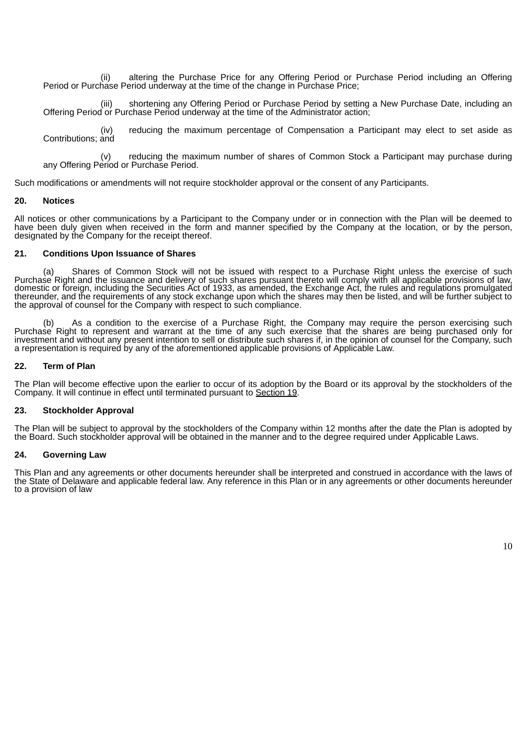(ii) altering the Purchase Price for any Offering Period or Purchase Period including an Offering Period or Purchase Period underway at the time of the change in Purchase Price;

shortening any Offering Period or Purchase Period by setting a New Purchase Date, including an Offering Period or Purchase Period underway at the time of the Administrator action;

(iv) reducing the maximum percentage of Compensation a Participant may elect to set aside as Contributions; and

(v) reducing the maximum number of shares of Common Stock a Participant may purchase during any Offering Period or Purchase Period.

Such modifications or amendments will not require stockholder approval or the consent of any Participants.

### **20. Notices**

All notices or other communications by a Participant to the Company under or in connection with the Plan will be deemed to have been duly given when received in the form and manner specified by the Company at the location, or by the person, designated by the Company for the receipt thereof.

### **21. Conditions Upon Issuance of Shares**

(a) Shares of Common Stock will not be issued with respect to a Purchase Right unless the exercise of such Purchase Right and the issuance and delivery of such shares pursuant thereto will comply with all applicable provisions of law, domestic or foreign, including the Securities Act of 1933, as amended, the Exchange Act, the rules and regulations promulgated thereunder, and the requirements of any stock exchange upon which the shares may then be listed, and will be further subject to the approval of counsel for the Company with respect to such compliance.

(b) As a condition to the exercise of a Purchase Right, the Company may require the person exercising such Purchase Right to represent and warrant at the time of any such exercise that the shares are being purchased only for investment and without any present intention to sell or distribute such shares if, in the opinion of counsel for the Company, such a representation is required by any of the aforementioned applicable provisions of Applicable Law.

### **22. Term of Plan**

The Plan will become effective upon the earlier to occur of its adoption by the Board or its approval by the stockholders of the Company. It will continue in effect until terminated pursuant to Section 19.

#### **23. Stockholder Approval**

The Plan will be subject to approval by the stockholders of the Company within 12 months after the date the Plan is adopted by the Board. Such stockholder approval will be obtained in the manner and to the degree required under Applicable Laws.

## **24. Governing Law**

This Plan and any agreements or other documents hereunder shall be interpreted and construed in accordance with the laws of the State of Delaware and applicable federal law. Any reference in this Plan or in any agreements or other documents hereunder to a provision of law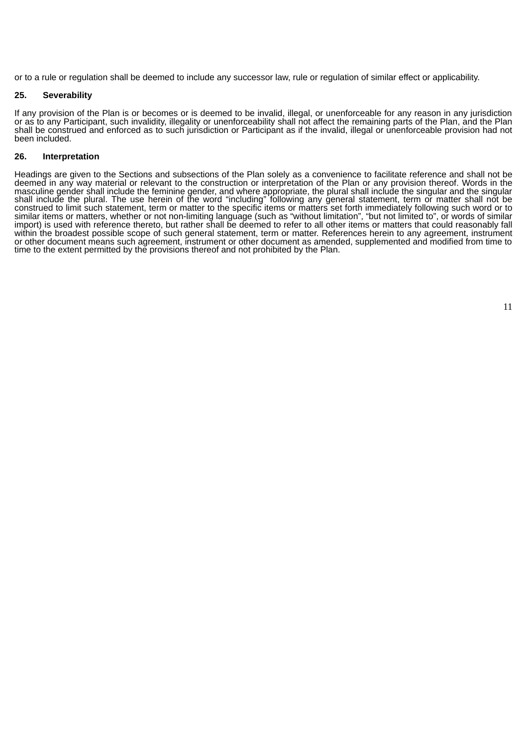or to a rule or regulation shall be deemed to include any successor law, rule or regulation of similar effect or applicability.

# **25. Severability**

If any provision of the Plan is or becomes or is deemed to be invalid, illegal, or unenforceable for any reason in any jurisdiction or as to any Participant, such invalidity, illegality or unenforceability shall not affect the remaining parts of the Plan, and the Plan shall be construed and enforced as to such jurisdiction or Participant as if the invalid, illegal or unenforceable provision had not been included.

#### **26. Interpretation**

Headings are given to the Sections and subsections of the Plan solely as a convenience to facilitate reference and shall not be deemed in any way material or relevant to the construction or interpretation of the Plan or any provision thereof. Words in the masculine gender shall include the feminine gender, and where appropriate, the plural shall include the singular and the singular shall include the plural. The use herein of the word "including" following any general statement, term or matter shall not be construed to limit such statement, term or matter to the specific items or matters set forth immediately following such word or to similar items or matters, whether or not non-limiting language (such as "without limitation", "but not limited to", or words of similar import) is used with reference thereto, but rather shall be deemed to refer to all other items or matters that could reasonably fall within the broadest possible scope of such general statement, term or matter. References herein to any agreement, instrument or other document means such agreement, instrument or other document as amended, supplemented and modified from time to time to the extent permitted by the provisions thereof and not prohibited by the Plan.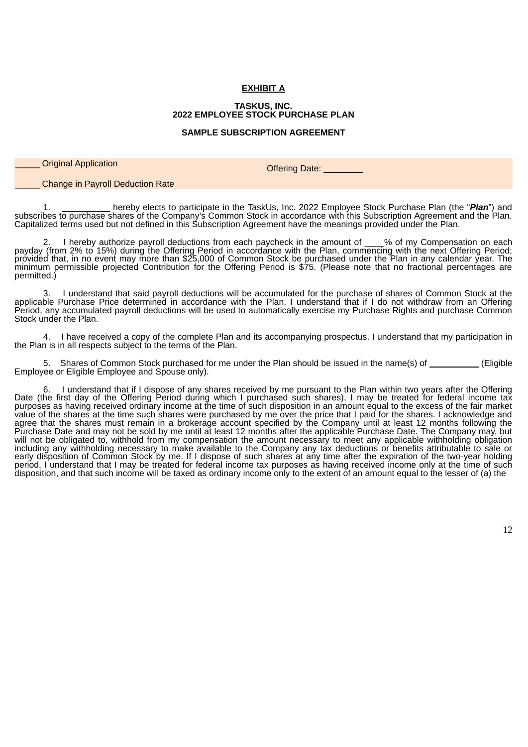# **EXHIBIT A**

#### **TASKUS, INC. 2022 EMPLOYEE STOCK PURCHASE PLAN**

#### **SAMPLE SUBSCRIPTION AGREEMENT**

**Original Application** Offering Date: **Offering Date:** 

\_\_\_\_\_ Change in Payroll Deduction Rate

1. hereby elects to participate in the TaskUs, Inc. 2022 Employee Stock Purchase Plan (the "*Plan*") and subscribes to purchase shares of the Company's Common Stock in accordance with this Subscription Agreement and the Plan. Capitalized terms used but not defined in this Subscription Agreement have the meanings provided under the Plan.

2. I hereby authorize payroll deductions from each paycheck in the amount of \_\_\_\_% of my Compensation on each payday (from 2% to 15%) during the Offering Period in accordance with the Plan, commencing with the next Offering Period; provided that, in no event may more than \$25,000 of Common Stock be purchased under the Plan in any calendar year. The minimum permissible projected Contribution for the Offering Period is \$75. (Please note that no fractional percentages are permitted.)

3. I understand that said payroll deductions will be accumulated for the purchase of shares of Common Stock at the applicable Purchase Price determined in accordance with the Plan. I understand that if I do not withdraw from an Offering Period, any accumulated payroll deductions will be used to automatically exercise my Purchase Rights and purchase Common Stock under the Plan.

4. I have received a copy of the complete Plan and its accompanying prospectus. I understand that my participation in the Plan is in all respects subject to the terms of the Plan.

5. Shares of Common Stock purchased for me under the Plan should be issued in the name(s) of \_\_\_\_\_\_ (Eligible Employee or Eligible Employee and Spouse only).

6. I understand that if I dispose of any shares received by me pursuant to the Plan within two years after the Offering Date (the first day of the Offering Period during which I purchased such shares), I may be treated for federal income tax purposes as having received ordinary income at the time of such disposition in an amount equal to the excess of the fair market value of the shares at the time such shares were purchased by me over the price that I paid for the shares. I acknowledge and agree that the shares must remain in a brokerage account specified by the Company until at least 12 months following the Purchase Date and may not be sold by me until at least 12 months after the applicable Purchase Date. The Company may, but will not be obligated to, withhold from my compensation the amount necessary to meet any applicable withholding obligation including any withholding necessary to make available to the Company any tax deductions or benefits attributable to sale or early disposition of Common Stock by me. If I dispose of such shares at any time after the expiration of the two-year holding period, I understand that I may be treated for federal income tax purposes as having received income only at the time of such disposition, and that such income will be taxed as ordinary income only to the extent of an amount equal to the lesser of (a) the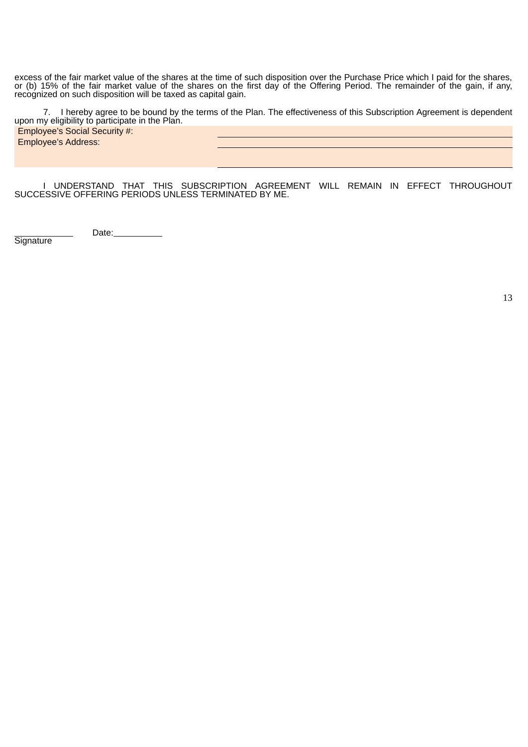excess of the fair market value of the shares at the time of such disposition over the Purchase Price which I paid for the shares, or (b) 15% of the fair market value of the shares on the first day of the Offering Period. The remainder of the gain, if any, recognized on such disposition will be taxed as capital gain.

7. I hereby agree to be bound by the terms of the Plan. The effectiveness of this Subscription Agreement is dependent upon my eligibility to participate in the Plan. Employee's Social Security #: Employee's Address:

I UNDERSTAND THAT THIS SUBSCRIPTION AGREEMENT WILL REMAIN IN EFFECT THROUGHOUT SUCCESSIVE OFFERING PERIODS UNLESS TERMINATED BY ME.

Date:\_\_\_\_\_\_\_\_\_\_

**Signature** 

13